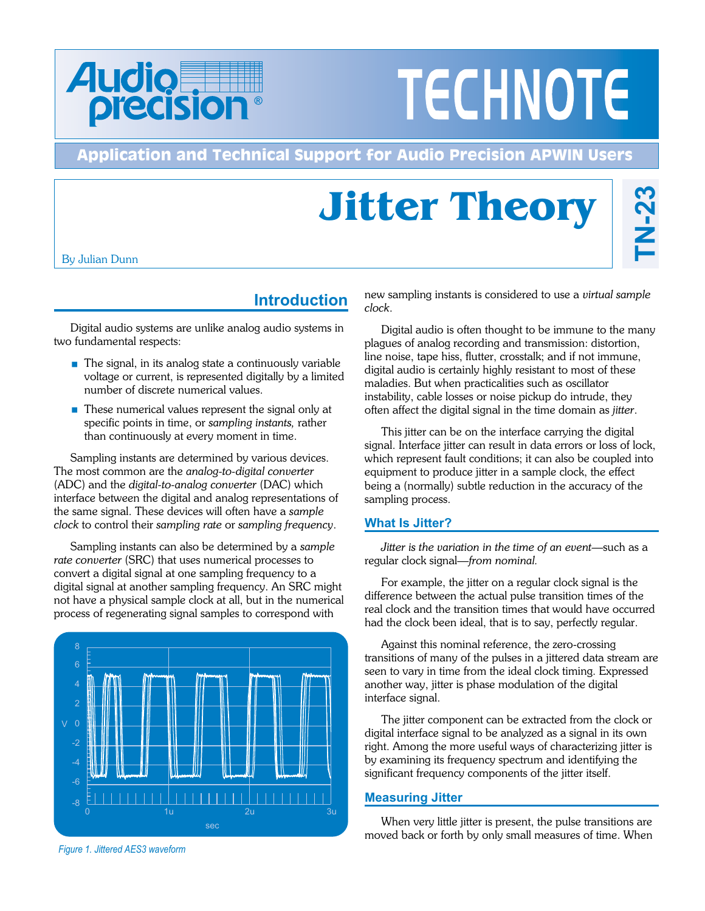

# **TECHNOTE**

#### **Application and Technical Support for Audio Precision APWIN Users**

## **Jitter Theory**

By Julian Dunn

#### **Introduction**

Digital audio systems are unlike analog audio systems in two fundamental respects:

- $\blacksquare$  The signal, in its analog state a continuously variable voltage or current, is represented digitally by a limited number of discrete numerical values.
- These numerical values represent the signal only at specific points in time, or *sampling instants,* rather than continuously at every moment in time.

Sampling instants are determined by various devices. The most common are the *analog-to-digital converter* (ADC) and the *digital-to-analog converter* (DAC) which interface between the digital and analog representations of the same signal. These devices will often have a *sample clock* to control their *sampling rate* or *sampling frequency*.

Sampling instants can also be determined by a *sample rate converter* (SRC) that uses numerical processes to convert a digital signal at one sampling frequency to a digital signal at another sampling frequency. An SRC might not have a physical sample clock at all, but in the numerical process of regenerating signal samples to correspond with



*Figure 1. Jittered AES3 waveform*

new sampling instants is considered to use a *virtual sample clock*.

Digital audio is often thought to be immune to the many plagues of analog recording and transmission: distortion, line noise, tape hiss, flutter, crosstalk; and if not immune, digital audio is certainly highly resistant to most of these maladies. But when practicalities such as oscillator instability, cable losses or noise pickup do intrude, they often affect the digital signal in the time domain as *jitter*.

This jitter can be on the interface carrying the digital signal. Interface jitter can result in data errors or loss of lock, which represent fault conditions; it can also be coupled into equipment to produce jitter in a sample clock, the effect being a (normally) subtle reduction in the accuracy of the sampling process.

#### **What Is Jitter?**

*Jitter is the variation in the time of an event*—such as a regular clock signal—*from nominal.*

For example, the jitter on a regular clock signal is the difference between the actual pulse transition times of the real clock and the transition times that would have occurred had the clock been ideal, that is to say, perfectly regular.

Against this nominal reference, the zero-crossing transitions of many of the pulses in a jittered data stream are seen to vary in time from the ideal clock timing. Expressed another way, jitter is phase modulation of the digital interface signal.

The jitter component can be extracted from the clock or digital interface signal to be analyzed as a signal in its own right. Among the more useful ways of characterizing jitter is by examining its frequency spectrum and identifying the significant frequency components of the jitter itself.

#### **Measuring Jitter**

When very little jitter is present, the pulse transitions are moved back or forth by only small measures of time. When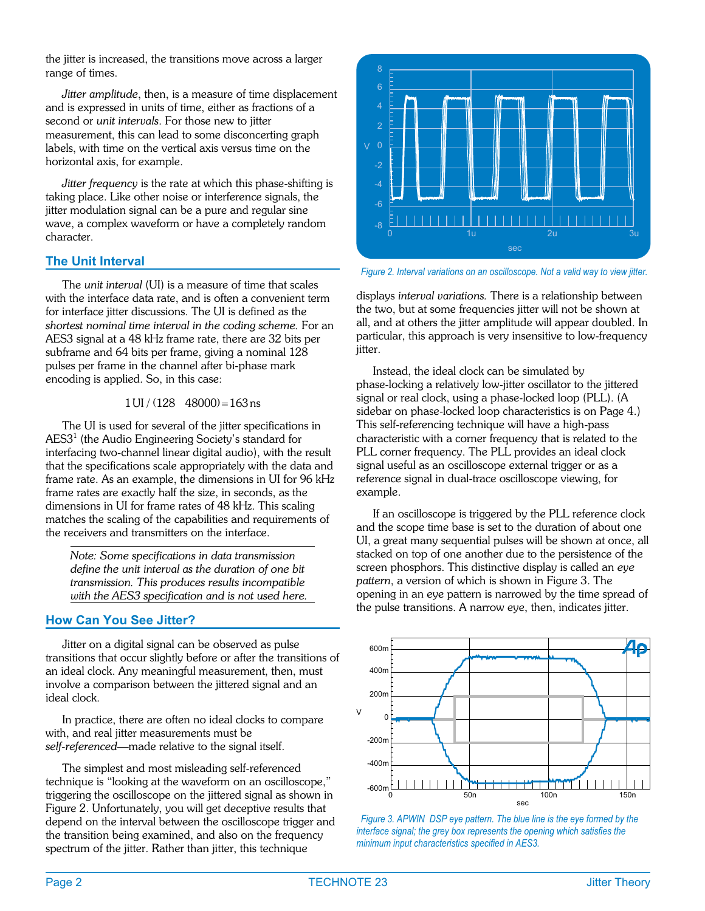<span id="page-1-0"></span>the jitter is increased, the transitions move across a larger range of times.

*Jitter amplitude*, then, is a measure of time displacement and is expressed in units of time, either as fractions of a second or *unit intervals*. For those new to jitter measurement, this can lead to some disconcerting graph labels, with time on the vertical axis versus time on the horizontal axis, for example.

*Jitter frequency* is the rate at which this phase-shifting is taking place. Like other noise or interference signals, the jitter modulation signal can be a pure and regular sine wave, a complex waveform or have a completely random character.

#### **The Unit Interval**

The *unit interval* (UI) is a measure of time that scales with the interface data rate, and is often a convenient term for interface jitter discussions. The UI is defined as the *shortest nominal time interval in the coding scheme.* For an AES3 signal at a 48 kHz frame rate, there are 32 bits per subframe and 64 bits per frame, giving a nominal 128 pulses per frame in the channel after bi-phase mark encoding is applied. So, in this case:

$$
1 \text{UI} / (128 \quad 48000) = 163 \text{ ns}
$$

The UI is used for several of the jitter specifications in AES3<sup>1</sup> (the Audio Engineering Society's standard for interfacing two-channel linear digital audio), with the result that the specifications scale appropriately with the data and frame rate. As an example, the dimensions in UI for 96 kHz frame rates are exactly half the size, in seconds, as the dimensions in UI for frame rates of 48 kHz. This scaling matches the scaling of the capabilities and requirements of the receivers and transmitters on the interface.

*Note: Some specifications in data transmission define the unit interval as the duration of one bit transmission. This produces results incompatible with the AES3 specification and is not used here.*

#### **How Can You See Jitter?**

Jitter on a digital signal can be observed as pulse transitions that occur slightly before or after the transitions of an ideal clock. Any meaningful measurement, then, must involve a comparison between the jittered signal and an ideal clock.

In practice, there are often no ideal clocks to compare with, and real jitter measurements must be *self-referenced*—made relative to the signal itself.

The simplest and most misleading self-referenced technique is "looking at the waveform on an oscilloscope," triggering the oscilloscope on the jittered signal as shown in Figure [2.](#page-1-0) Unfortunately, you will get deceptive results that depend on the interval between the oscilloscope trigger and the transition being examined, and also on the frequency spectrum of the jitter. Rather than jitter, this technique



*Figure 2. Interval variations on an oscilloscope. Not a valid way to view jitter.*

displays *interval variations.* There is a relationship between the two, but at some frequencies jitter will not be shown at all, and at others the jitter amplitude will appear doubled. In particular, this approach is very insensitive to low-frequency jitter.

Instead, the ideal clock can be simulated by phase-locking a relatively low-jitter oscillator to the jittered signal or real clock, using a phase-locked loop (PLL). (A sidebar on phase-locked loop characteristics is on Page [4](#page-3-0).) This self-referencing technique will have a high-pass characteristic with a corner frequency that is related to the PLL corner frequency. The PLL provides an ideal clock signal useful as an oscilloscope external trigger or as a reference signal in dual-trace oscilloscope viewing, for example.

If an oscilloscope is triggered by the PLL reference clock and the scope time base is set to the duration of about one UI, a great many sequential pulses will be shown at once, all stacked on top of one another due to the persistence of the screen phosphors. This distinctive display is called an *eye pattern*, a version of which is shown in Figure [3](#page-1-0). The opening in an eye pattern is narrowed by the time spread of the pulse transitions. A narrow eye, then, indicates jitter.



*Figure 3. APWIN DSP eye pattern. The blue line is the eye formed by the interface signal; the grey box represents the opening which satisfies the minimum input characteristics specified in AES3.*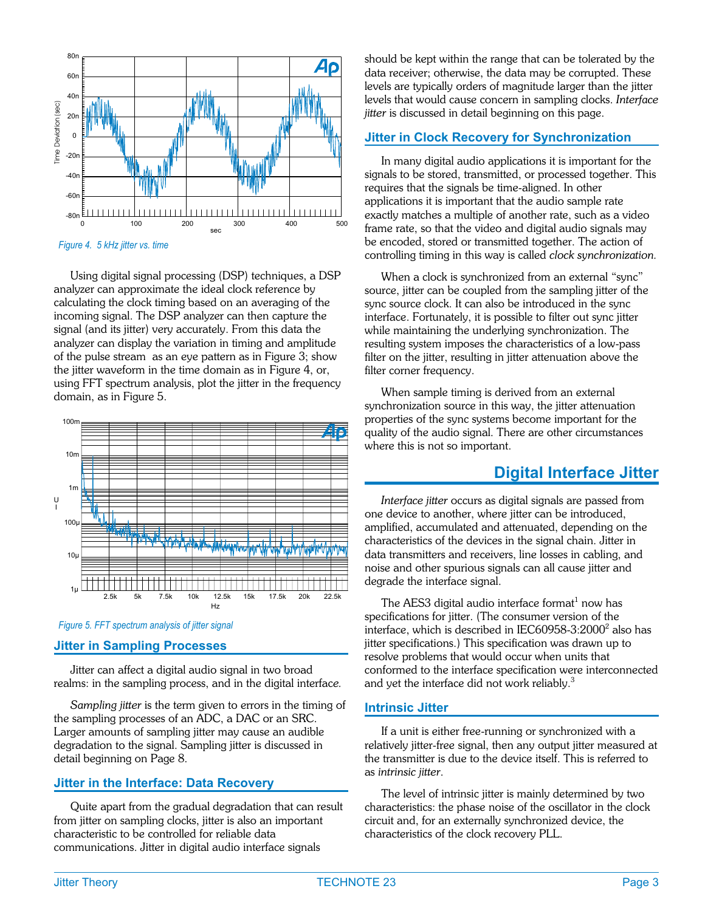<span id="page-2-0"></span>

*Figure 4. 5 kHz jitter vs. time*

Using digital signal processing (DSP) techniques, a DSP analyzer can approximate the ideal clock reference by calculating the clock timing based on an averaging of the incoming signal. The DSP analyzer can then capture the signal (and its jitter) very accurately. From this data the analyzer can display the variation in timing and amplitude of the pulse stream as an eye pattern as in Figure [3](#page-1-0); show the jitter waveform in the time domain as in Figure [4](#page-2-0), or, using FFT spectrum analysis, plot the jitter in the frequency domain, as in Figure [5](#page-2-0).





#### **Jitter in Sampling Processes**

Jitter can affect a digital audio signal in two broad realms: in the sampling process, and in the digital interfac*e.*

*Sampling jitter* is the term given to errors in the timing of the sampling processes of an ADC, a DAC or an SRC. Larger amounts of sampling jitter may cause an audible degradation to the signal. Sampling jitter is discussed in detail beginning on Page [8](#page-7-0).

#### **Jitter in the Interface: Data Recovery**

Quite apart from the gradual degradation that can result from jitter on sampling clocks, jitter is also an important characteristic to be controlled for reliable data communications. Jitter in digital audio interface signals

should be kept within the range that can be tolerated by the data receiver; otherwise, the data may be corrupted. These levels are typically orders of magnitude larger than the jitter levels that would cause concern in sampling clocks. *Interface jitter* is discussed in detail beginning on this page.

#### **Jitter in Clock Recovery for Synchronization**

In many digital audio applications it is important for the signals to be stored, transmitted, or processed together. This requires that the signals be time-aligned. In other applications it is important that the audio sample rate exactly matches a multiple of another rate, such as a video frame rate, so that the video and digital audio signals may be encoded, stored or transmitted together. The action of controlling timing in this way is called *clock synchronization.*

When a clock is synchronized from an external "sync" source, jitter can be coupled from the sampling jitter of the sync source clock. It can also be introduced in the sync interface. Fortunately, it is possible to filter out sync jitter while maintaining the underlying synchronization. The resulting system imposes the characteristics of a low-pass filter on the jitter, resulting in jitter attenuation above the filter corner frequency.

When sample timing is derived from an external synchronization source in this way, the jitter attenuation properties of the sync systems become important for the quality of the audio signal. There are other circumstances where this is not so important.

#### **Digital Interface Jitter**

*Interface jitter* occurs as digital signals are passed from one device to another, where jitter can be introduced, amplified, accumulated and attenuated, depending on the characteristics of the devices in the signal chain. Jitter in data transmitters and receivers, line losses in cabling, and noise and other spurious signals can all cause jitter and degrade the interface signal.

The AES3 digital audio interface format $1$  now has specifications for jitter. (The consumer version of the interface, which is described in IEC60958-3:2000 $^2$  also has jitter specifications.) This specification was drawn up to resolve problems that would occur when units that conformed to the interface specification were interconnected and yet the interface did not work reliably.<sup>3</sup>

#### **Intrinsic Jitter**

If a unit is either free-running or synchronized with a relatively jitter-free signal, then any output jitter measured at the transmitter is due to the device itself. This is referred to as *intrinsic jitter*.

The level of intrinsic jitter is mainly determined by two characteristics: the phase noise of the oscillator in the clock circuit and, for an externally synchronized device, the characteristics of the clock recovery PLL.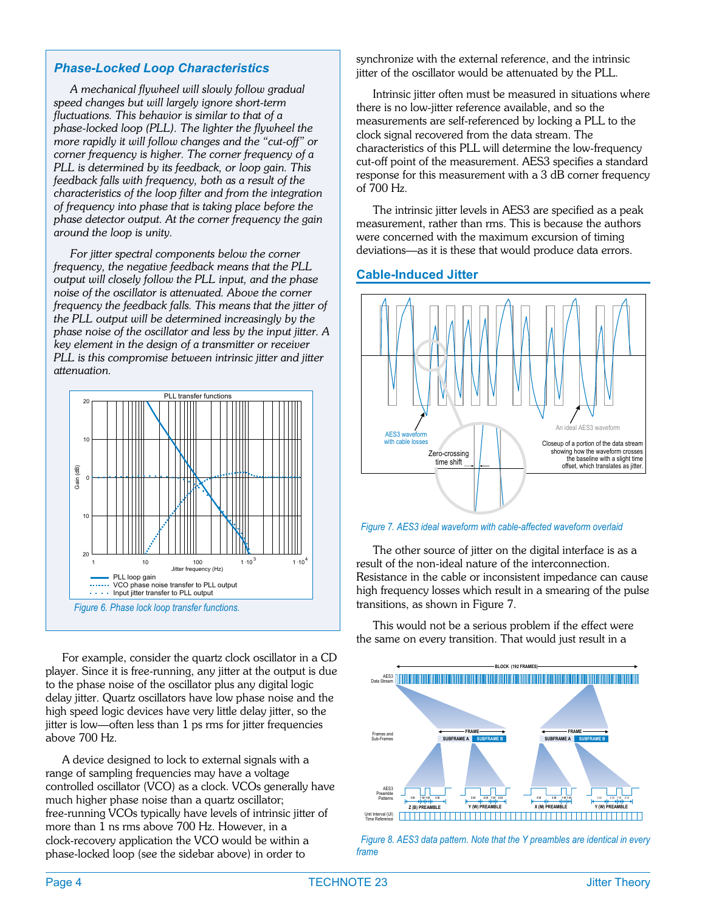#### <span id="page-3-0"></span>*Phase-Locked Loop Characteristics*

*A mechanical flywheel will slowly follow gradual speed changes but will largely ignore short-term fluctuations. This behavior is similar to that of a phase-locked loop (PLL). The lighter the flywheel the more rapidly it will follow changes and the "cut-off" or corner frequency is higher. The corner frequency of a PLL is determined by its feedback, or loop gain. This feedback falls with frequency, both as a result of the characteristics of the loop filter and from the integration of frequency into phase that is taking place before the phase detector output. At the corner frequency the gain around the loop is unity.*

*For jitter spectral components below the corner frequency, the negative feedback means that the PLL output will closely follow the PLL input, and the phase noise of the oscillator is attenuated. Above the corner frequency the feedback falls. This means that the jitter of the PLL output will be determined increasingly by the phase noise of the oscillator and less by the input jitter. A key element in the design of a transmitter or receiver PLL is this compromise between intrinsic jitter and jitter attenuation.*



For example, consider the quartz clock oscillator in a CD player. Since it is free-running, any jitter at the output is due to the phase noise of the oscillator plus any digital logic delay jitter. Quartz oscillators have low phase noise and the high speed logic devices have very little delay jitter, so the jitter is low—often less than 1 ps rms for jitter frequencies above 700 Hz.

A device designed to lock to external signals with a range of sampling frequencies may have a voltage controlled oscillator (VCO) as a clock. VCOs generally have much higher phase noise than a quartz oscillator; free-running VCOs typically have levels of intrinsic jitter of more than 1 ns rms above 700 Hz. However, in a clock-recovery application the VCO would be within a phase-locked loop (see the sidebar above) in order to

synchronize with the external reference, and the intrinsic jitter of the oscillator would be attenuated by the PLL.

Intrinsic jitter often must be measured in situations where there is no low-jitter reference available, and so the measurements are self-referenced by locking a PLL to the clock signal recovered from the data stream. The characteristics of this PLL will determine the low-frequency cut-off point of the measurement. AES3 specifies a standard response for this measurement with a 3 dB corner frequency of 700 Hz.

The intrinsic jitter levels in AES3 are specified as a peak measurement, rather than rms. This is because the authors were concerned with the maximum excursion of timing deviations—as it is these that would produce data errors.

#### **Cable-Induced Jitter**



*Figure 7. AES3 ideal waveform with cable-affected waveform overlaid*

The other source of jitter on the digital interface is as a result of the non-ideal nature of the interconnection. Resistance in the cable or inconsistent impedance can cause high frequency losses which result in a smearing of the pulse transitions, as shown in Figure [7.](#page-3-0)

This would not be a serious problem if the effect were the same on every transition. That would just result in a



*Figure 8. AES3 data pattern. Note that the Y preambles are identical in every frame*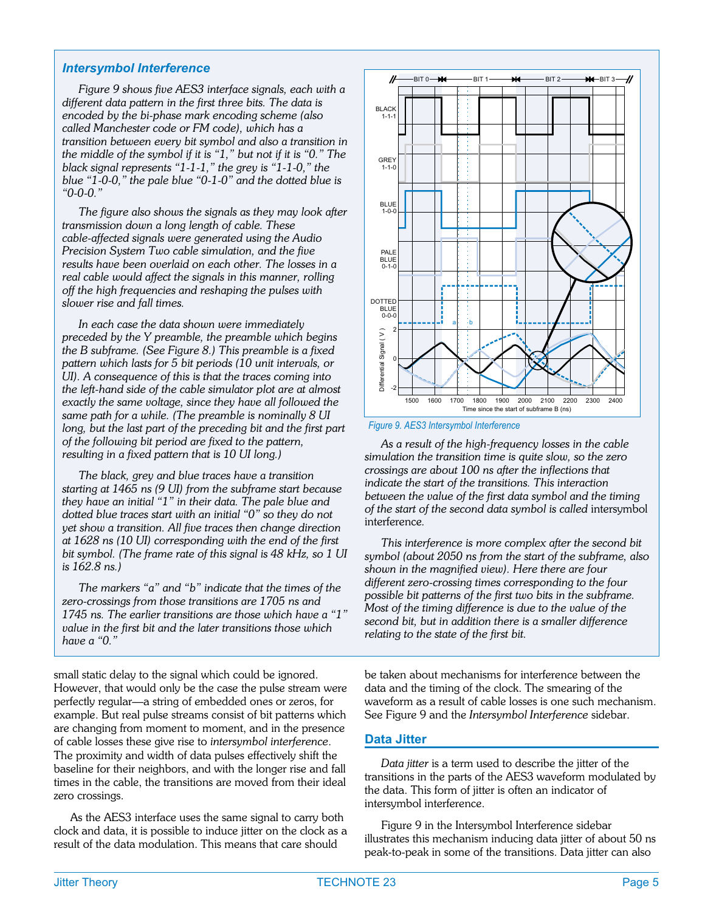#### <span id="page-4-0"></span>*Intersymbol Interference*

*Figure [9](#page-4-0) shows five AES3 interface signals, each with a different data pattern in the first three bits. The data is encoded by the bi-phase mark encoding scheme (also called Manchester code or FM code), which has a transition between every bit symbol and also a transition in the middle of the symbol if it is "1," but not if it is "0." The black signal represents "1-1-1," the grey is "1-1-0," the blue "1-0-0," the pale blue "0-1-0" and the dotted blue is "0-0-0."*

*The figure also shows the signals as they may look after transmission down a long length of cable. These cable-affected signals were generated using the Audio Precision System Two cable simulation, and the five results have been overlaid on each other. The losses in a real cable would affect the signals in this manner, rolling off the high frequencies and reshaping the pulses with slower rise and fall times.*

*In each case the data shown were immediately preceded by the Y preamble, the preamble which begins the B subframe. (See Figure [8](#page-3-0).) This preamble is a fixed pattern which lasts for 5 bit periods (10 unit intervals, or UI). A consequence of this is that the traces coming into the left-hand side of the cable simulator plot are at almost exactly the same voltage, since they have all followed the same path for a while. (The preamble is nominally 8 UI long, but the last part of the preceding bit and the first part of the following bit period are fixed to the pattern, resulting in a fixed pattern that is 10 UI long.)*

*The black, grey and blue traces have a transition starting at 1465 ns (9 UI) from the subframe start because they have an initial "1" in their data. The pale blue and dotted blue traces start with an initial "0" so they do not yet show a transition. All five traces then change direction at 1628 ns (10 UI) corresponding with the end of the first bit symbol. (The frame rate of this signal is 48 kHz, so 1 UI is 162.8 ns.)*

*The markers "a" and "b" indicate that the times of the zero-crossings from those transitions are 1705 ns and 1745 ns. The earlier transitions are those which have a "1" value in the first bit and the later transitions those which have a "0."*

small static delay to the signal which could be ignored. However, that would only be the case the pulse stream were perfectly regular—a string of embedded ones or zeros, for example. But real pulse streams consist of bit patterns which are changing from moment to moment, and in the presence of cable losses these give rise to *intersymbol interference*. The proximity and width of data pulses effectively shift the baseline for their neighbors, and with the longer rise and fall times in the cable, the transitions are moved from their ideal zero crossings.

As the AES3 interface uses the same signal to carry both clock and data, it is possible to induce jitter on the clock as a result of the data modulation. This means that care should



*Figure 9. AES3 Intersymbol Interference*

*As a result of the high-frequency losses in the cable simulation the transition time is quite slow, so the zero crossings are about 100 ns after the inflections that indicate the start of the transitions. This interaction between the value of the first data symbol and the timing of the start of the second data symbol is called* intersymbol interference*.*

*This interference is more complex after the second bit symbol (about 2050 ns from the start of the subframe, also shown in the magnified view). Here there are four different zero-crossing times corresponding to the four possible bit patterns of the first two bits in the subframe. Most of the timing difference is due to the value of the second bit, but in addition there is a smaller difference relating to the state of the first bit.*

be taken about mechanisms for interference between the data and the timing of the clock. The smearing of the waveform as a result of cable losses is one such mechanism. See Figure [9](#page-4-0) and the *Intersymbol Interference* sidebar.

#### **Data Jitter**

*Data jitter* is a term used to describe the jitter of the transitions in the parts of the AES3 waveform modulated by the data. This form of jitter is often an indicator of intersymbol interference.

Figure [9](#page-4-0) in the Intersymbol Interference sidebar illustrates this mechanism inducing data jitter of about 50 ns peak-to-peak in some of the transitions. Data jitter can also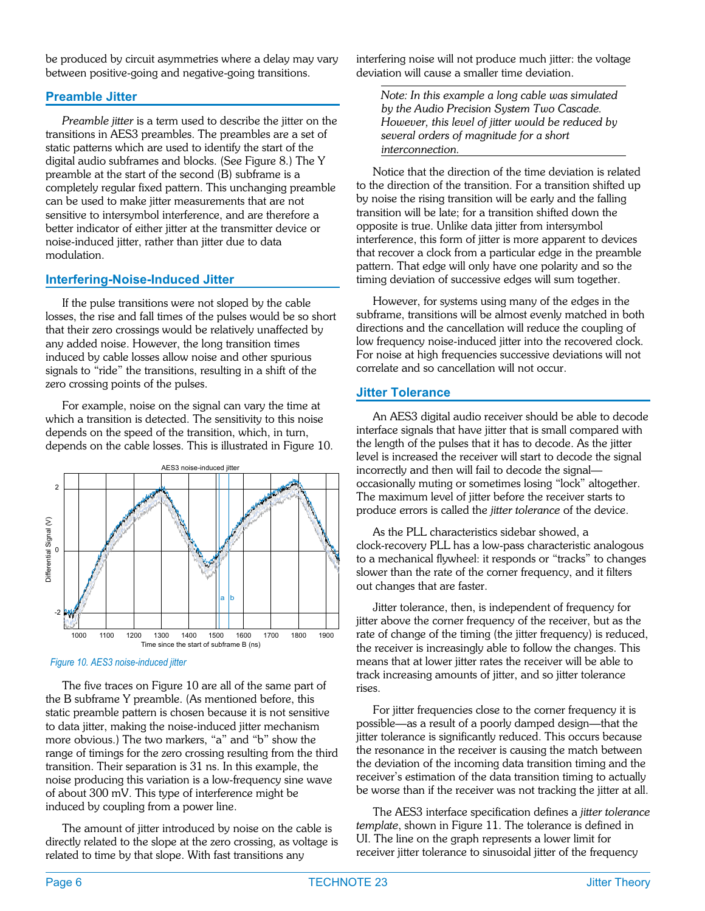<span id="page-5-0"></span>be produced by circuit asymmetries where a delay may vary between positive-going and negative-going transitions.

#### **Preamble Jitter**

*Preamble jitter* is a term used to describe the jitter on the transitions in AES3 preambles. The preambles are a set of static patterns which are used to identify the start of the digital audio subframes and blocks. (See Figure [8](#page-3-0).) The Y preamble at the start of the second (B) subframe is a completely regular fixed pattern. This unchanging preamble can be used to make jitter measurements that are not sensitive to intersymbol interference, and are therefore a better indicator of either jitter at the transmitter device or noise-induced jitter, rather than jitter due to data modulation.

#### **Interfering-Noise-Induced Jitter**

If the pulse transitions were not sloped by the cable losses, the rise and fall times of the pulses would be so short that their zero crossings would be relatively unaffected by any added noise. However, the long transition times induced by cable losses allow noise and other spurious signals to "ride" the transitions, resulting in a shift of the zero crossing points of the pulses.

For example, noise on the signal can vary the time at which a transition is detected. The sensitivity to this noise depends on the speed of the transition, which, in turn, depends on the cable losses. This is illustrated in Figure [10.](#page-5-0)



*Figure 10. AES3 noise-induced jitter*

The five traces on Figure [10](#page-5-0) are all of the same part of the B subframe Y preamble. (As mentioned before, this static preamble pattern is chosen because it is not sensitive to data jitter, making the noise-induced jitter mechanism more obvious.) The two markers, "a" and "b" show the range of timings for the zero crossing resulting from the third transition. Their separation is 31 ns. In this example, the noise producing this variation is a low-frequency sine wave of about 300 mV. This type of interference might be induced by coupling from a power line.

The amount of jitter introduced by noise on the cable is directly related to the slope at the zero crossing, as voltage is related to time by that slope. With fast transitions any

interfering noise will not produce much jitter: the voltage deviation will cause a smaller time deviation.

*Note: In this example a long cable was simulated by the Audio Precision System Two Cascade. However, this level of jitter would be reduced by several orders of magnitude for a short interconnection.*

Notice that the direction of the time deviation is related to the direction of the transition. For a transition shifted up by noise the rising transition will be early and the falling transition will be late; for a transition shifted down the opposite is true. Unlike data jitter from intersymbol interference, this form of jitter is more apparent to devices that recover a clock from a particular edge in the preamble pattern. That edge will only have one polarity and so the timing deviation of successive edges will sum together.

However, for systems using many of the edges in the subframe, transitions will be almost evenly matched in both directions and the cancellation will reduce the coupling of low frequency noise-induced jitter into the recovered clock. For noise at high frequencies successive deviations will not correlate and so cancellation will not occur.

#### **Jitter Tolerance**

An AES3 digital audio receiver should be able to decode interface signals that have jitter that is small compared with the length of the pulses that it has to decode. As the jitter level is increased the receiver will start to decode the signal incorrectly and then will fail to decode the signal occasionally muting or sometimes losing "lock" altogether. The maximum level of jitter before the receiver starts to produce errors is called the *jitter tolerance* of the device.

As the PLL characteristics sidebar showed, a clock-recovery PLL has a low-pass characteristic analogous to a mechanical flywheel: it responds or "tracks" to changes slower than the rate of the corner frequency, and it filters out changes that are faster.

Jitter tolerance, then, is independent of frequency for jitter above the corner frequency of the receiver, but as the rate of change of the timing (the jitter frequency) is reduced, the receiver is increasingly able to follow the changes. This means that at lower jitter rates the receiver will be able to track increasing amounts of jitter, and so jitter tolerance rises.

For jitter frequencies close to the corner frequency it is possible—as a result of a poorly damped design—that the jitter tolerance is significantly reduced. This occurs because the resonance in the receiver is causing the match between the deviation of the incoming data transition timing and the receiver's estimation of the data transition timing to actually be worse than if the receiver was not tracking the jitter at all.

The AES3 interface specification defines a *jitter tolerance template*, shown in Figure [11](#page-6-0). The tolerance is defined in UI. The line on the graph represents a lower limit for receiver jitter tolerance to sinusoidal jitter of the frequency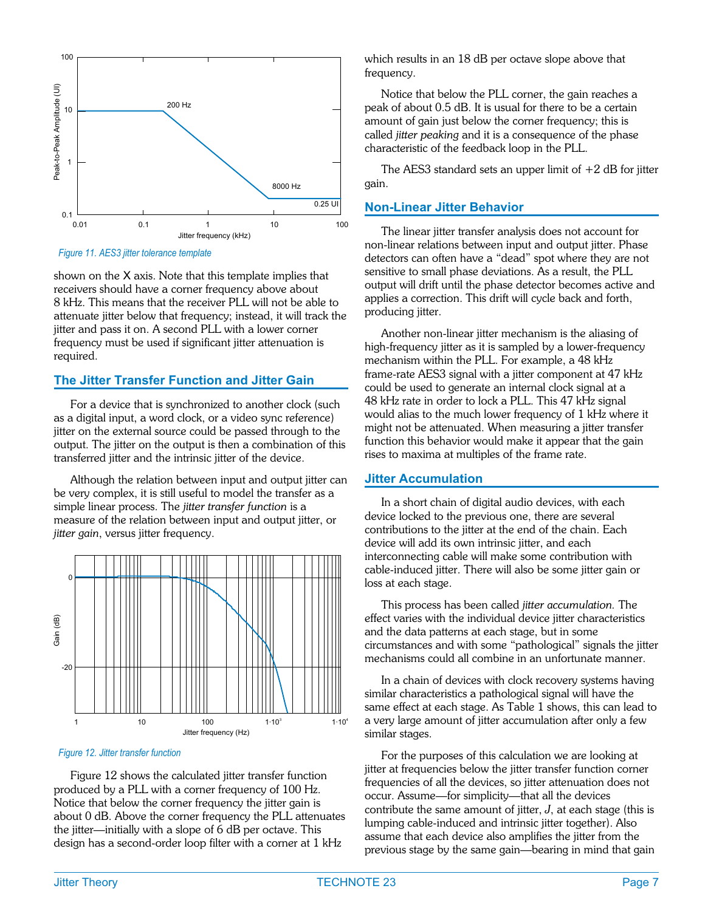<span id="page-6-0"></span>

*Figure 11. AES3 jitter tolerance template*

shown on the X axis. Note that this template implies that receivers should have a corner frequency above about 8 kHz. This means that the receiver PLL will not be able to attenuate jitter below that frequency; instead, it will track the jitter and pass it on. A second PLL with a lower corner frequency must be used if significant jitter attenuation is required.

#### **The Jitter Transfer Function and Jitter Gain**

For a device that is synchronized to another clock (such as a digital input, a word clock, or a video sync reference) jitter on the external source could be passed through to the output. The jitter on the output is then a combination of this transferred jitter and the intrinsic jitter of the device.

Although the relation between input and output jitter can be very complex, it is still useful to model the transfer as a simple linear process. The *jitter transfer function* is a measure of the relation between input and output jitter, or *jitter gain*, versus jitter frequency.



*Figure 12. Jitter transfer function*

Figure [12](#page-6-0) shows the calculated jitter transfer function produced by a PLL with a corner frequency of 100 Hz. Notice that below the corner frequency the jitter gain is about 0 dB. Above the corner frequency the PLL attenuates the jitter—initially with a slope of 6 dB per octave. This design has a second-order loop filter with a corner at 1 kHz

which results in an 18 dB per octave slope above that frequency.

Notice that below the PLL corner, the gain reaches a peak of about 0.5 dB. It is usual for there to be a certain amount of gain just below the corner frequency; this is called *jitter peaking* and it is a consequence of the phase characteristic of the feedback loop in the PLL.

The AES3 standard sets an upper limit of  $+2$  dB for jitter gain.

#### **Non-Linear Jitter Behavior**

The linear jitter transfer analysis does not account for non-linear relations between input and output jitter. Phase detectors can often have a "dead" spot where they are not sensitive to small phase deviations. As a result, the PLL output will drift until the phase detector becomes active and applies a correction. This drift will cycle back and forth, producing jitter.

Another non-linear jitter mechanism is the aliasing of high-frequency jitter as it is sampled by a lower-frequency mechanism within the PLL. For example, a 48 kHz frame-rate AES3 signal with a jitter component at 47 kHz could be used to generate an internal clock signal at a 48 kHz rate in order to lock a PLL. This 47 kHz signal would alias to the much lower frequency of 1 kHz where it might not be attenuated. When measuring a jitter transfer function this behavior would make it appear that the gain rises to maxima at multiples of the frame rate.

#### **Jitter Accumulation**

In a short chain of digital audio devices, with each device locked to the previous one, there are several contributions to the jitter at the end of the chain. Each device will add its own intrinsic jitter, and each interconnecting cable will make some contribution with cable-induced jitter. There will also be some jitter gain or loss at each stage.

This process has been called *jitter accumulation.* The effect varies with the individual device jitter characteristics and the data patterns at each stage, but in some circumstances and with some "pathological" signals the jitter mechanisms could all combine in an unfortunate manner.

In a chain of devices with clock recovery systems having similar characteristics a pathological signal will have the same effect at each stage. As Table 1 shows, this can lead to a very large amount of jitter accumulation after only a few similar stages.

For the purposes of this calculation we are looking at jitter at frequencies below the jitter transfer function corner frequencies of all the devices, so jitter attenuation does not occur. Assume—for simplicity—that all the devices contribute the same amount of jitter, *J*, at each stage (this is lumping cable-induced and intrinsic jitter together). Also assume that each device also amplifies the jitter from the previous stage by the same gain—bearing in mind that gain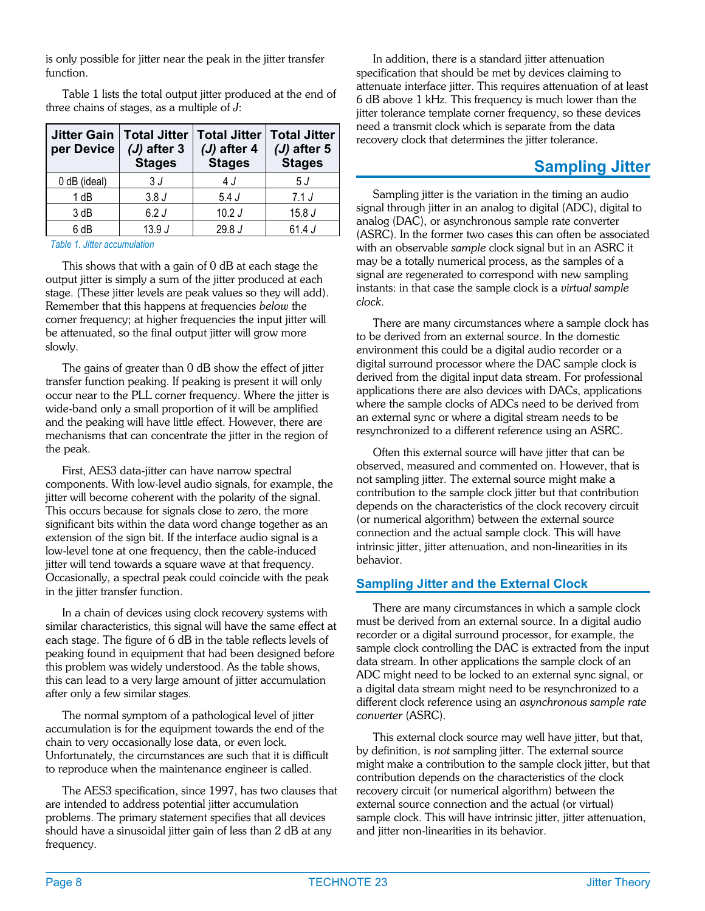<span id="page-7-0"></span>is only possible for jitter near the peak in the jitter transfer function.

Table 1 lists the total output jitter produced at the end of three chains of stages, as a multiple of *J*:

| <b>Jitter Gain</b><br>per Device | <b>Total Jitter</b><br>$(J)$ after 3<br><b>Stages</b> | Total Jitter   Total Jitter<br>$(J)$ after 4<br><b>Stages</b> | $(J)$ after 5<br><b>Stages</b> |
|----------------------------------|-------------------------------------------------------|---------------------------------------------------------------|--------------------------------|
| 0 dB (ideal)                     | 3 J                                                   | 4 J                                                           | 5 J                            |
| 1 dB                             | 3.8J                                                  | 5.4J                                                          | 7.1 J                          |
| 3 dB                             | 6.2J                                                  | 10.2J                                                         | 15.8J                          |
| 6 dB                             | 13.9J                                                 | 29.8 J                                                        | 61.4J                          |

*Table 1. Jitter accumulation*

This shows that with a gain of 0 dB at each stage the output jitter is simply a sum of the jitter produced at each stage. (These jitter levels are peak values so they will add). Remember that this happens at frequencies *below* the corner frequency; at higher frequencies the input jitter will be attenuated, so the final output jitter will grow more slowly.

The gains of greater than 0 dB show the effect of jitter transfer function peaking. If peaking is present it will only occur near to the PLL corner frequency. Where the jitter is wide-band only a small proportion of it will be amplified and the peaking will have little effect. However, there are mechanisms that can concentrate the jitter in the region of the peak.

First, AES3 data-jitter can have narrow spectral components. With low-level audio signals, for example, the jitter will become coherent with the polarity of the signal. This occurs because for signals close to zero, the more significant bits within the data word change together as an extension of the sign bit. If the interface audio signal is a low-level tone at one frequency, then the cable-induced jitter will tend towards a square wave at that frequency. Occasionally, a spectral peak could coincide with the peak in the jitter transfer function.

In a chain of devices using clock recovery systems with similar characteristics, this signal will have the same effect at each stage. The figure of 6 dB in the table reflects levels of peaking found in equipment that had been designed before this problem was widely understood. As the table shows, this can lead to a very large amount of jitter accumulation after only a few similar stages.

The normal symptom of a pathological level of jitter accumulation is for the equipment towards the end of the chain to very occasionally lose data, or even lock. Unfortunately, the circumstances are such that it is difficult to reproduce when the maintenance engineer is called.

The AES3 specification, since 1997, has two clauses that are intended to address potential jitter accumulation problems. The primary statement specifies that all devices should have a sinusoidal jitter gain of less than 2 dB at any frequency.

In addition, there is a standard jitter attenuation specification that should be met by devices claiming to attenuate interface jitter. This requires attenuation of at least 6 dB above 1 kHz. This frequency is much lower than the jitter tolerance template corner frequency, so these devices need a transmit clock which is separate from the data recovery clock that determines the jitter tolerance.

#### **Sampling Jitter**

Sampling jitter is the variation in the timing an audio signal through jitter in an analog to digital (ADC), digital to analog (DAC), or asynchronous sample rate converter (ASRC). In the former two cases this can often be associated with an observable *sample* clock signal but in an ASRC it may be a totally numerical process, as the samples of a signal are regenerated to correspond with new sampling instants: in that case the sample clock is a *virtual sample clock*.

There are many circumstances where a sample clock has to be derived from an external source. In the domestic environment this could be a digital audio recorder or a digital surround processor where the DAC sample clock is derived from the digital input data stream. For professional applications there are also devices with DACs, applications where the sample clocks of ADCs need to be derived from an external sync or where a digital stream needs to be resynchronized to a different reference using an ASRC.

Often this external source will have jitter that can be observed, measured and commented on. However, that is not sampling jitter. The external source might make a contribution to the sample clock jitter but that contribution depends on the characteristics of the clock recovery circuit (or numerical algorithm) between the external source connection and the actual sample clock. This will have intrinsic jitter, jitter attenuation, and non-linearities in its behavior.

#### **Sampling Jitter and the External Clock**

There are many circumstances in which a sample clock must be derived from an external source. In a digital audio recorder or a digital surround processor, for example, the sample clock controlling the DAC is extracted from the input data stream. In other applications the sample clock of an ADC might need to be locked to an external sync signal, or a digital data stream might need to be resynchronized to a different clock reference using an *asynchronous sample rate converter* (ASRC).

This external clock source may well have jitter, but that, by definition, is *not* sampling jitter. The external source might make a contribution to the sample clock jitter, but that contribution depends on the characteristics of the clock recovery circuit (or numerical algorithm) between the external source connection and the actual (or virtual) sample clock. This will have intrinsic jitter, jitter attenuation, and jitter non-linearities in its behavior.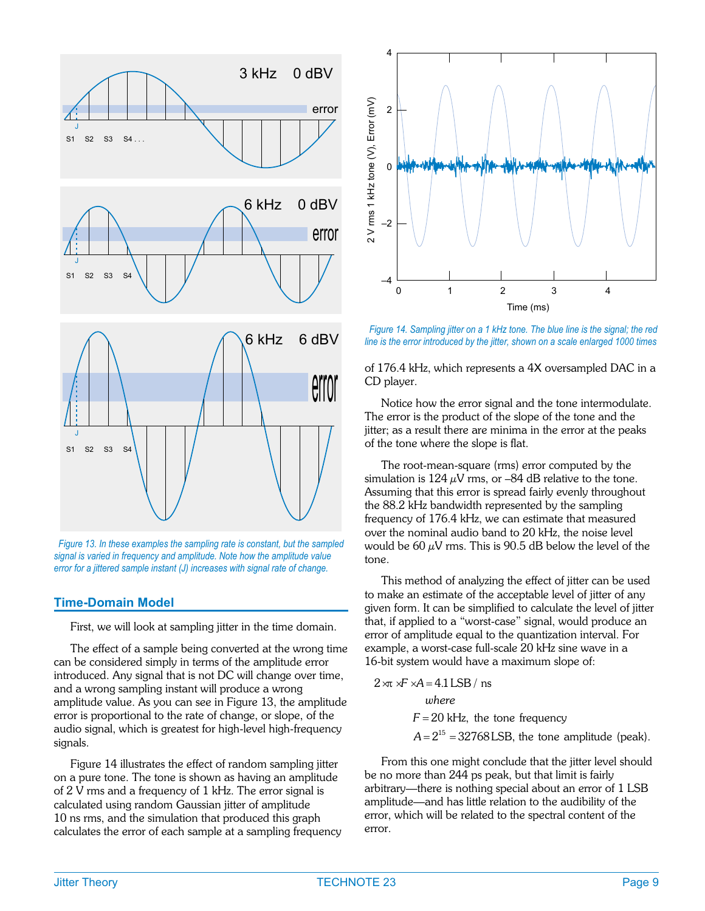

*Figure 13. In these examples the sampling rate is constant, but the sampled signal is varied in frequency and amplitude. Note how the amplitude value error for a jittered sample instant (J) increases with signal rate of change.*

#### **Time-Domain Model**

First, we will look at sampling jitter in the time domain.

The effect of a sample being converted at the wrong time can be considered simply in terms of the amplitude error introduced. Any signal that is not DC will change over time, and a wrong sampling instant will produce a wrong amplitude value. As you can see in Figure [13,](#page-8-0) the amplitude error is proportional to the rate of change, or slope, of the audio signal, which is greatest for high-level high-frequency signals.

Figure [14](#page-8-0) illustrates the effect of random sampling jitter on a pure tone. The tone is shown as having an amplitude of 2 V rms and a frequency of 1 kHz. The error signal is calculated using random Gaussian jitter of amplitude 10 ns rms, and the simulation that produced this graph calculates the error of each sample at a sampling frequency

<span id="page-8-0"></span>

*Figure 14. Sampling jitter on a 1 kHz tone. The blue line is the signal; the red line is the error introduced by the jitter, shown on a scale enlarged 1000 times*

of 176.4 kHz, which represents a 4X oversampled DAC in a CD player.

Notice how the error signal and the tone intermodulate. The error is the product of the slope of the tone and the jitter; as a result there are minima in the error at the peaks of the tone where the slope is flat.

The root-mean-square (rms) error computed by the simulation is 124  $\mu$ V rms, or -84 dB relative to the tone. Assuming that this error is spread fairly evenly throughout the 88.2 kHz bandwidth represented by the sampling frequency of 176.4 kHz, we can estimate that measured over the nominal audio band to 20 kHz, the noise level would be 60  $\mu$ V rms. This is 90.5 dB below the level of the tone.

This method of analyzing the effect of jitter can be used to make an estimate of the acceptable level of jitter of any given form. It can be simplified to calculate the level of jitter that, if applied to a "worst-case" signal, would produce an error of amplitude equal to the quantization interval. For example, a worst-case full-scale 20 kHz sine wave in a 16-bit system would have a maximum slope of:

$$
2 \times \text{r} \times A = 4.1 \text{LSB} / \text{ns}
$$
  
\n*where*  
\n $F = 20 \text{ kHz, the tone frequency}$   
\n $A = 2^{15} = 32768 \text{LSB, the tone amplitude (peak)}$ .

From this one might conclude that the jitter level should be no more than 244 ps peak, but that limit is fairly arbitrary—there is nothing special about an error of 1 LSB amplitude—and has little relation to the audibility of the error, which will be related to the spectral content of the error.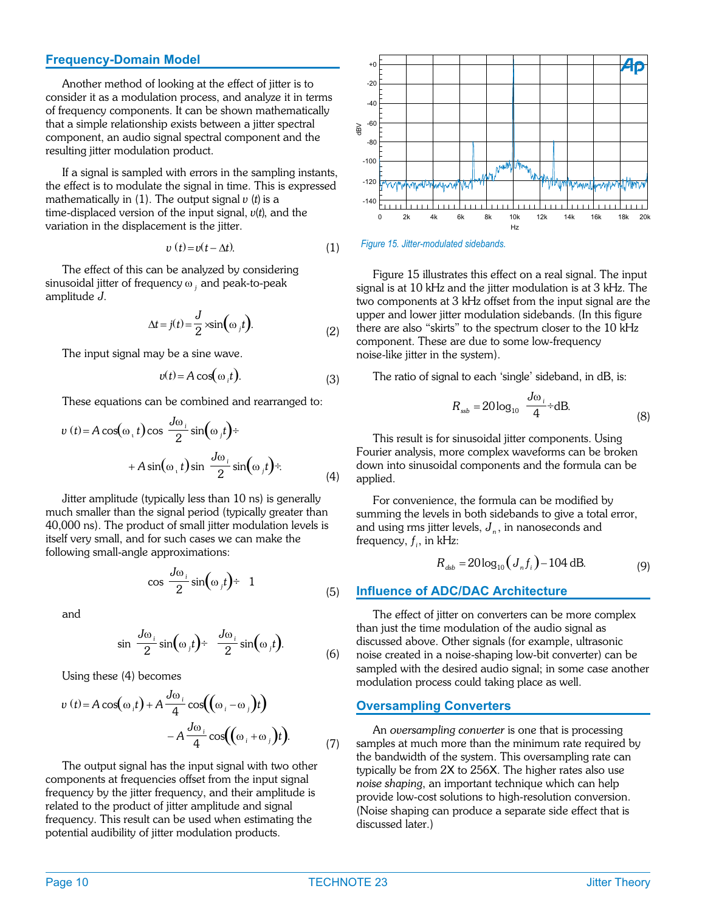#### <span id="page-9-0"></span>**Frequency-Domain Model**

Another method of looking at the effect of jitter is to consider it as a modulation process, and analyze it in terms of frequency components. It can be shown mathematically that a simple relationship exists between a jitter spectral component, an audio signal spectral component and the resulting jitter modulation product.

If a signal is sampled with errors in the sampling instants, the effect is to modulate the signal in time. This is expressed mathematically in  $(1)$ . The output signal  $v(t)$  is a time-displaced version of the input signal,  $v(t)$ , and the variation in the displacement is the jitter.

$$
v(t) = v(t - \Delta t). \tag{1}
$$

The effect of this can be analyzed by considering sinusoidal jitter of frequency ω *<sup>j</sup>* and peak-to-peak amplitude *J*.

$$
\Delta t = j(t) = \frac{J}{2} \times \sin(\omega_j t). \tag{2}
$$

The input signal may be a sine wave.

$$
v(t) = A\cos(\omega_i t). \tag{3}
$$

These equations can be combined and rearranged to:

$$
v(t) = A \cos(\omega_{+} t) \cos \frac{J\omega_{+}}{2} \sin(\omega_{+} t) \div
$$

$$
+ A \sin(\omega_{+} t) \sin \frac{J\omega_{+}}{2} \sin(\omega_{+} t) \div.
$$
 (4)

Jitter amplitude (typically less than 10 ns) is generally much smaller than the signal period (typically greater than 40,000 ns). The product of small jitter modulation levels is itself very small, and for such cases we can make the following small-angle approximations:

$$
\cos \frac{J\omega_i}{2} \sin(\omega_j t) \div 1 \tag{5}
$$

and

$$
\sin \frac{J\omega_i}{2} \sin(\omega_j t) \div \frac{J\omega_i}{2} \sin(\omega_j t). \tag{6}
$$

Using these (4) becomes

$$
v(t) = A \cos(\omega_i t) + A \frac{J\omega_i}{4} \cos((\omega_i - \omega_j)t)
$$

$$
- A \frac{J\omega_i}{4} \cos((\omega_i + \omega_j)t).
$$
 (7)

The output signal has the input signal with two other components at frequencies offset from the input signal frequency by the jitter frequency, and their amplitude is related to the product of jitter amplitude and signal frequency. This result can be used when estimating the potential audibility of jitter modulation products.





Figure [15](#page-9-0) illustrates this effect on a real signal. The input signal is at 10 kHz and the jitter modulation is at 3 kHz. The two components at 3 kHz offset from the input signal are the upper and lower jitter modulation sidebands. (In this figure there are also "skirts" to the spectrum closer to the 10 kHz component. These are due to some low-frequency noise-like jitter in the system).

The ratio of signal to each 'single' sideband, in dB, is:

$$
R_{\rm ssb} = 20 \log_{10} \frac{J\omega_i}{4} \div dB.
$$
 (8)

This result is for sinusoidal jitter components. Using Fourier analysis, more complex waveforms can be broken down into sinusoidal components and the formula can be applied.

For convenience, the formula can be modified by summing the levels in both sidebands to give a total error, and using rms jitter levels,  $J_n$ , in nanoseconds and frequency,  $f_i$ , in kHz:

$$
R_{\rm dsb} = 20\log_{10}\left(J_n f_i\right) - 104\,\text{dB.}\tag{9}
$$

#### **Influence of ADC/DAC Architecture**

The effect of jitter on converters can be more complex than just the time modulation of the audio signal as discussed above. Other signals (for example, ultrasonic noise created in a noise-shaping low-bit converter) can be sampled with the desired audio signal; in some case another modulation process could taking place as well.

#### **Oversampling Converters**

An *oversampling converter* is one that is processing samples at much more than the minimum rate required by the bandwidth of the system. This oversampling rate can typically be from 2X to 256X. The higher rates also use *noise shaping*, an important technique which can help provide low-cost solutions to high-resolution conversion. (Noise shaping can produce a separate side effect that is discussed later.)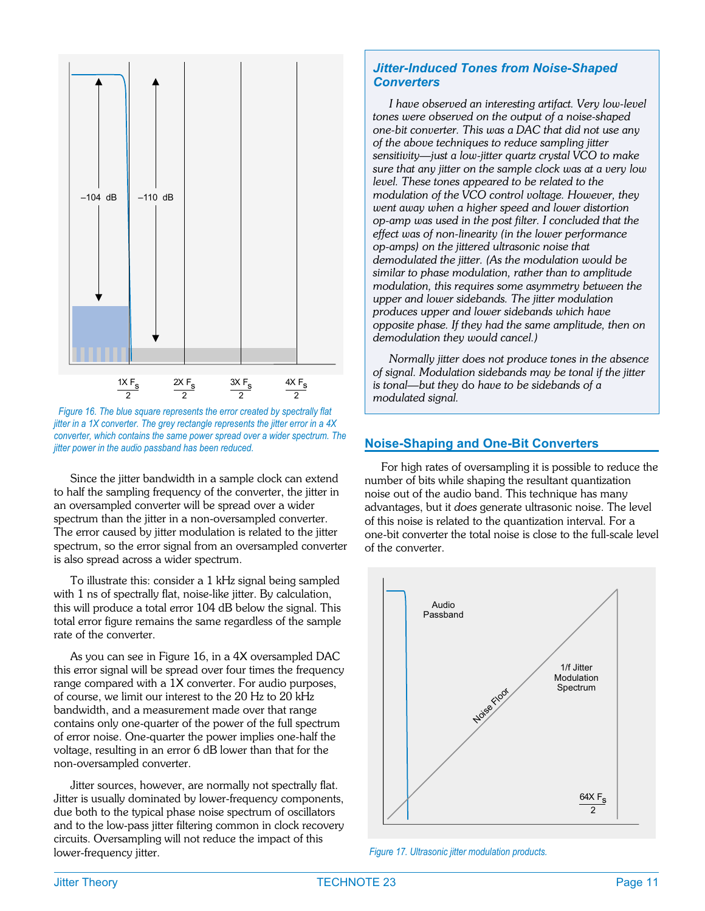<span id="page-10-0"></span>

*Figure 16. The blue square represents the error created by spectrally flat jitter in a 1X converter. The grey rectangle represents the jitter error in a 4X converter, which contains the same power spread over a wider spectrum. The jitter power in the audio passband has been reduced.*

Since the jitter bandwidth in a sample clock can extend to half the sampling frequency of the converter, the jitter in an oversampled converter will be spread over a wider spectrum than the jitter in a non-oversampled converter. The error caused by jitter modulation is related to the jitter spectrum, so the error signal from an oversampled converter is also spread across a wider spectrum.

To illustrate this: consider a 1 kHz signal being sampled with 1 ns of spectrally flat, noise-like jitter. By calculation, this will produce a total error 104 dB below the signal. This total error figure remains the same regardless of the sample rate of the converter.

As you can see in Figure [16,](#page-10-0) in a 4X oversampled DAC this error signal will be spread over four times the frequency range compared with a 1X converter. For audio purposes, of course, we limit our interest to the 20 Hz to 20 kHz bandwidth, and a measurement made over that range contains only one-quarter of the power of the full spectrum of error noise. One-quarter the power implies one-half the voltage, resulting in an error 6 dB lower than that for the non-oversampled converter.

Jitter sources, however, are normally not spectrally flat. Jitter is usually dominated by lower-frequency components, due both to the typical phase noise spectrum of oscillators and to the low-pass jitter filtering common in clock recovery circuits. Oversampling will not reduce the impact of this lower-frequency jitter.

#### *Jitter-Induced Tones from Noise-Shaped Converters*

*I have observed an interesting artifact. Very low-level tones were observed on the output of a noise-shaped one-bit converter. This was a DAC that did not use any of the above techniques to reduce sampling jitter sensitivity—just a low-jitter quartz crystal VCO to make sure that any jitter on the sample clock was at a very low level. These tones appeared to be related to the modulation of the VCO control voltage. However, they went away when a higher speed and lower distortion op-amp was used in the post filter. I concluded that the effect was of non-linearity (in the lower performance op-amps) on the jittered ultrasonic noise that demodulated the jitter. (As the modulation would be similar to phase modulation, rather than to amplitude modulation, this requires some asymmetry between the upper and lower sidebands. The jitter modulation produces upper and lower sidebands which have opposite phase. If they had the same amplitude, then on demodulation they would cancel.)*

*Normally jitter does not produce tones in the absence of signal. Modulation sidebands may be tonal if the jitter is tonal—but they* do *have to be sidebands of a modulated signal.*

#### **Noise-Shaping and One-Bit Converters**

For high rates of oversampling it is possible to reduce the number of bits while shaping the resultant quantization noise out of the audio band. This technique has many advantages, but it *does* generate ultrasonic noise. The level of this noise is related to the quantization interval. For a one-bit converter the total noise is close to the full-scale level of the converter.



*Figure 17. Ultrasonic jitter modulation products.*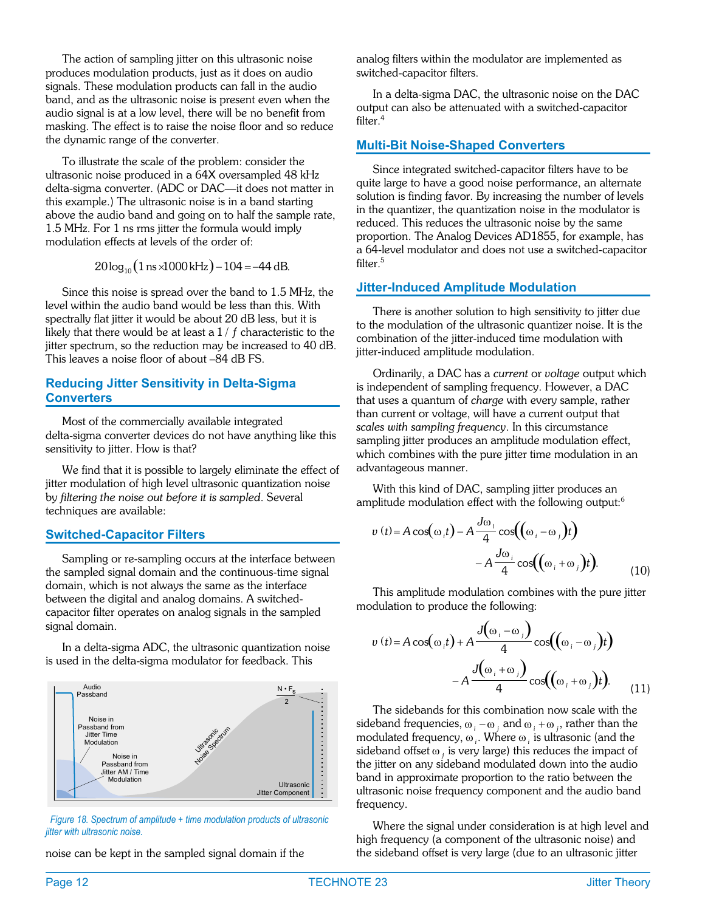The action of sampling jitter on this ultrasonic noise produces modulation products, just as it does on audio signals. These modulation products can fall in the audio band, and as the ultrasonic noise is present even when the audio signal is at a low level, there will be no benefit from masking. The effect is to raise the noise floor and so reduce the dynamic range of the converter.

To illustrate the scale of the problem: consider the ultrasonic noise produced in a 64X oversampled 48 kHz delta-sigma converter. (ADC or DAC—it does not matter in this example.) The ultrasonic noise is in a band starting above the audio band and going on to half the sample rate, 1.5 MHz. For 1 ns rms jitter the formula would imply modulation effects at levels of the order of:

 $20 \log_{10} (1 \text{ ns} \times 1000 \text{ kHz}) - 104 = -44 \text{ dB}.$ 

Since this noise is spread over the band to 1.5 MHz, the level within the audio band would be less than this. With spectrally flat jitter it would be about 20 dB less, but it is likely that there would be at least a 1 / *f* characteristic to the jitter spectrum, so the reduction may be increased to 40 dB. This leaves a noise floor of about –84 dB FS.

#### **Reducing Jitter Sensitivity in Delta-Sigma Converters**

Most of the commercially available integrated delta-sigma converter devices do not have anything like this sensitivity to jitter. How is that?

We find that it is possible to largely eliminate the effect of jitter modulation of high level ultrasonic quantization noise by *filtering the noise out before it is sampled*. Several techniques are available:

#### **Switched-Capacitor Filters**

Sampling or re-sampling occurs at the interface between the sampled signal domain and the continuous-time signal domain, which is not always the same as the interface between the digital and analog domains. A switchedcapacitor filter operates on analog signals in the sampled signal domain.

In a delta-sigma ADC, the ultrasonic quantization noise is used in the delta-sigma modulator for feedback. This



*Figure 18. Spectrum of amplitude + time modulation products of ultrasonic jitter with ultrasonic noise.*

noise can be kept in the sampled signal domain if the

analog filters within the modulator are implemented as switched-capacitor filters.

In a delta-sigma DAC, the ultrasonic noise on the DAC output can also be attenuated with a switched-capacitor filter.<sup>4</sup>

#### **Multi-Bit Noise-Shaped Converters**

Since integrated switched-capacitor filters have to be quite large to have a good noise performance, an alternate solution is finding favor. By increasing the number of levels in the quantizer, the quantization noise in the modulator is reduced. This reduces the ultrasonic noise by the same proportion. The Analog Devices AD1855, for example, has a 64-level modulator and does not use a switched-capacitor filter.<sup>5</sup>

#### **Jitter-Induced Amplitude Modulation**

There is another solution to high sensitivity to jitter due to the modulation of the ultrasonic quantizer noise. It is the combination of the jitter-induced time modulation with jitter-induced amplitude modulation.

Ordinarily, a DAC has a *current* or *voltage* output which is independent of sampling frequency. However, a DAC that uses a quantum of *charge* with every sample, rather than current or voltage, will have a current output that *scales with sampling frequency*. In this circumstance sampling jitter produces an amplitude modulation effect, which combines with the pure jitter time modulation in an advantageous manner.

With this kind of DAC, sampling jitter produces an amplitude modulation effect with the following output:<sup>6</sup>

$$
v(t) = A \cos(\omega_i t) - A \frac{J\omega_i}{4} \cos((\omega_i - \omega_j)t)
$$

$$
- A \frac{J\omega_i}{4} \cos((\omega_i + \omega_j)t).
$$
(10)

This amplitude modulation combines with the pure jitter modulation to produce the following:

$$
v(t) = A \cos(\omega_i t) + A \frac{J(\omega_i - \omega_j)}{4} \cos((\omega_i - \omega_j)t)
$$

$$
-A \frac{J(\omega_i + \omega_j)}{4} \cos((\omega_i + \omega_j)t).
$$
(11)

The sidebands for this combination now scale with the sideband frequencies,  $\omega_i - \omega_j$  and  $\omega_i + \omega_j$ , rather than the modulated frequency, ω<sub>i</sub>. Where ω<sub>i</sub> is ultrasonic (and the sideband offset  $\omega_j$  is very large) this reduces the impact of the jitter on any sideband modulated down into the audio band in approximate proportion to the ratio between the ultrasonic noise frequency component and the audio band frequency.

Where the signal under consideration is at high level and high frequency (a component of the ultrasonic noise) and the sideband offset is very large (due to an ultrasonic jitter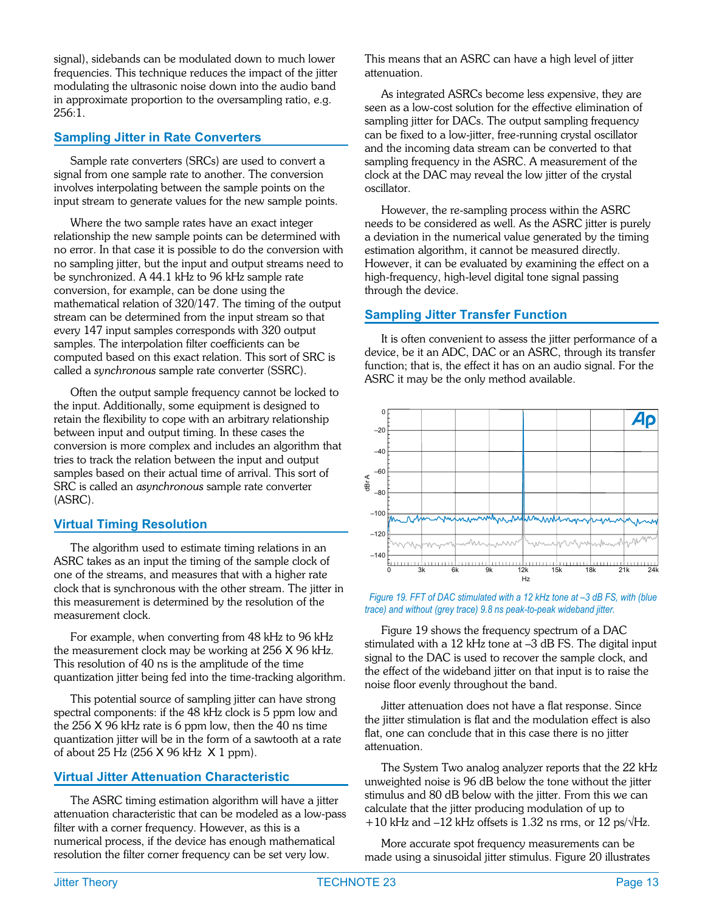<span id="page-12-0"></span>signal), sidebands can be modulated down to much lower frequencies. This technique reduces the impact of the jitter modulating the ultrasonic noise down into the audio band in approximate proportion to the oversampling ratio, e.g. 256:1.

#### **Sampling Jitter in Rate Converters**

Sample rate converters (SRCs) are used to convert a signal from one sample rate to another. The conversion involves interpolating between the sample points on the input stream to generate values for the new sample points.

Where the two sample rates have an exact integer relationship the new sample points can be determined with no error. In that case it is possible to do the conversion with no sampling jitter, but the input and output streams need to be synchronized. A 44.1 kHz to 96 kHz sample rate conversion, for example, can be done using the mathematical relation of 320/147. The timing of the output stream can be determined from the input stream so that every 147 input samples corresponds with 320 output samples. The interpolation filter coefficients can be computed based on this exact relation. This sort of SRC is called a *synchronous* sample rate converter (SSRC).

Often the output sample frequency cannot be locked to the input. Additionally, some equipment is designed to retain the flexibility to cope with an arbitrary relationship between input and output timing. In these cases the conversion is more complex and includes an algorithm that tries to track the relation between the input and output samples based on their actual time of arrival. This sort of SRC is called an *asynchronous* sample rate converter (ASRC).

#### **Virtual Timing Resolution**

The algorithm used to estimate timing relations in an ASRC takes as an input the timing of the sample clock of one of the streams, and measures that with a higher rate clock that is synchronous with the other stream. The jitter in this measurement is determined by the resolution of the measurement clock.

For example, when converting from 48 kHz to 96 kHz the measurement clock may be working at 256 X 96 kHz. This resolution of 40 ns is the amplitude of the time quantization jitter being fed into the time-tracking algorithm.

This potential source of sampling jitter can have strong spectral components: if the 48 kHz clock is 5 ppm low and the 256 X 96 kHz rate is 6 ppm low, then the 40 ns time quantization jitter will be in the form of a sawtooth at a rate of about 25 Hz (256 X 96 kHz X 1 ppm).

#### **Virtual Jitter Attenuation Characteristic**

The ASRC timing estimation algorithm will have a jitter attenuation characteristic that can be modeled as a low-pass filter with a corner frequency. However, as this is a numerical process, if the device has enough mathematical resolution the filter corner frequency can be set very low.

This means that an ASRC can have a high level of jitter attenuation.

As integrated ASRCs become less expensive, they are seen as a low-cost solution for the effective elimination of sampling jitter for DACs. The output sampling frequency can be fixed to a low-jitter, free-running crystal oscillator and the incoming data stream can be converted to that sampling frequency in the ASRC. A measurement of the clock at the DAC may reveal the low jitter of the crystal oscillator.

However, the re-sampling process within the ASRC needs to be considered as well. As the ASRC jitter is purely a deviation in the numerical value generated by the timing estimation algorithm, it cannot be measured directly. However, it can be evaluated by examining the effect on a high-frequency, high-level digital tone signal passing through the device.

#### **Sampling Jitter Transfer Function**

It is often convenient to assess the jitter performance of a device, be it an ADC, DAC or an ASRC, through its transfer function; that is, the effect it has on an audio signal. For the ASRC it may be the only method available.



*Figure 19. FFT of DAC stimulated with a 12 kHz tone at –3 dB FS, with (blue trace) and without (grey trace) 9.8 ns peak-to-peak wideband jitter.*

Figure [19](#page-12-0) shows the frequency spectrum of a DAC stimulated with a 12 kHz tone at –3 dB FS. The digital input signal to the DAC is used to recover the sample clock, and the effect of the wideband jitter on that input is to raise the noise floor evenly throughout the band.

Jitter attenuation does not have a flat response. Since the jitter stimulation is flat and the modulation effect is also flat, one can conclude that in this case there is no jitter attenuation.

The System Two analog analyzer reports that the 22 kHz unweighted noise is 96 dB below the tone without the jitter stimulus and 80 dB below with the jitter. From this we can calculate that the jitter producing modulation of up to  $+10$  kHz and  $-12$  kHz offsets is 1.32 ns rms, or 12 ps/ $\sqrt{Hz}$ .

More accurate spot frequency measurements can be made using a sinusoidal jitter stimulus. Figure [20](#page-13-0) illustrates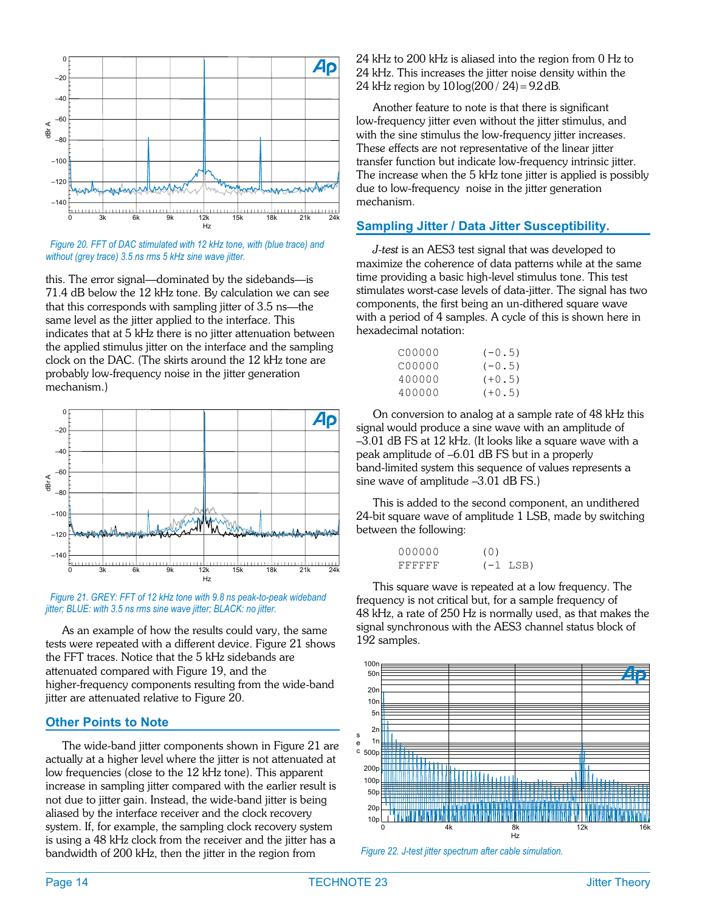<span id="page-13-0"></span>

*Figure 20. FFT of DAC stimulated with 12 kHz tone, with (blue trace) and without (grey trace) 3.5 ns rms 5 kHz sine wave jitter.*

this. The error signal—dominated by the sidebands—is 71.4 dB below the 12 kHz tone. By calculation we can see that this corresponds with sampling jitter of 3.5 ns—the same level as the jitter applied to the interface. This indicates that at 5 kHz there is no jitter attenuation between the applied stimulus jitter on the interface and the sampling clock on the DAC. (The skirts around the 12 kHz tone are probably low-frequency noise in the jitter generation mechanism.)





As an example of how the results could vary, the same tests were repeated with a different device. Figure [21](#page-13-0) shows the FFT traces. Notice that the 5 kHz sidebands are attenuated compared with Figure [19,](#page-12-0) and the higher-frequency components resulting from the wide-band jitter are attenuated relative to Figure [20.](#page-13-0)

#### **Other Points to Note**

The wide-band jitter components shown in Figure [21](#page-13-0) are actually at a higher level where the jitter is not attenuated at low frequencies (close to the 12 kHz tone). This apparent increase in sampling jitter compared with the earlier result is not due to jitter gain. Instead, the wide-band jitter is being aliased by the interface receiver and the clock recovery system. If, for example, the sampling clock recovery system is using a 48 kHz clock from the receiver and the jitter has a bandwidth of 200 kHz, then the jitter in the region from

24 kHz to 200 kHz is aliased into the region from 0 Hz to 24 kHz. This increases the jitter noise density within the 24 kHz region by  $10 \log( 200 / 24) = 9.2$  dB.

Another feature to note is that there is significant low-frequency jitter even without the jitter stimulus, and with the sine stimulus the low-frequency jitter increases. These effects are not representative of the linear jitter transfer function but indicate low-frequency intrinsic jitter. The increase when the 5 kHz tone jitter is applied is possibly due to low-frequency noise in the jitter generation mechanism.

#### **Sampling Jitter / Data Jitter Susceptibility.**

*J-test* is an AES3 test signal that was developed to maximize the coherence of data patterns while at the same time providing a basic high-level stimulus tone. This test stimulates worst-case levels of data-jitter. The signal has two components, the first being an un-dithered square wave with a period of 4 samples. A cycle of this is shown here in hexadecimal notation:

| C00000 | $(-0.5)$ |
|--------|----------|
| C00000 | $(-0.5)$ |
| 400000 | $(+0.5)$ |
| 400000 | $(+0.5)$ |

On conversion to analog at a sample rate of 48 kHz this signal would produce a sine wave with an amplitude of –3.01 dB FS at 12 kHz. (It looks like a square wave with a peak amplitude of –6.01 dB FS but in a properly band-limited system this sequence of values represents a sine wave of amplitude –3.01 dB FS.)

This is added to the second component, an undithered 24-bit square wave of amplitude 1 LSB, made by switching between the following:

| 000000  | (0) |            |
|---------|-----|------------|
| FFFFFFF |     | $(-1$ LSB) |

This square wave is repeated at a low frequency. The frequency is not critical but, for a sample frequency of 48 kHz, a rate of 250 Hz is normally used, as that makes the signal synchronous with the AES3 channel status block of 192 samples.



*Figure 22. J-test jitter spectrum after cable simulation.*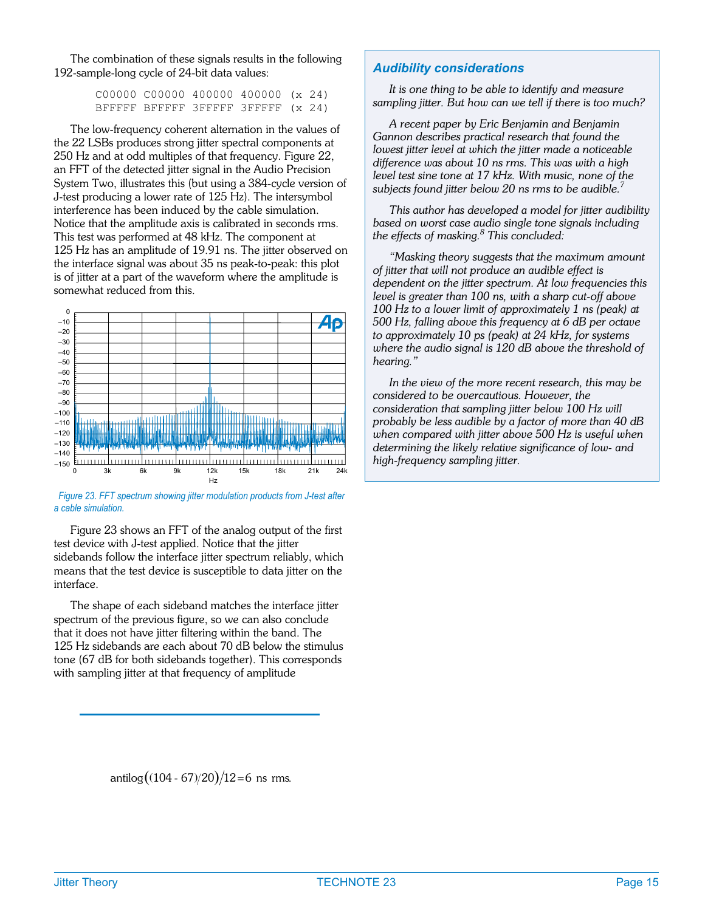<span id="page-14-0"></span>The combination of these signals results in the following 192-sample-long cycle of 24-bit data values:

> C00000 C00000 400000 400000 (x 24) BFFFFF BFFFFF 3FFFFF 3FFFFF (x 24)

The low-frequency coherent alternation in the values of the 22 LSBs produces strong jitter spectral components at 250 Hz and at odd multiples of that frequency. Figure [22,](#page-13-0) an FFT of the detected jitter signal in the Audio Precision System Two, illustrates this (but using a 384-cycle version of J-test producing a lower rate of 125 Hz). The intersymbol interference has been induced by the cable simulation. Notice that the amplitude axis is calibrated in seconds rms. This test was performed at 48 kHz. The component at 125 Hz has an amplitude of 19.91 ns. The jitter observed on the interface signal was about 35 ns peak-to-peak: this plot is of jitter at a part of the waveform where the amplitude is somewhat reduced from this.



*Figure 23. FFT spectrum showing jitter modulation products from J-test after a cable simulation.*

Figure [23](#page-14-0) shows an FFT of the analog output of the first test device with J-test applied. Notice that the jitter sidebands follow the interface jitter spectrum reliably, which means that the test device is susceptible to data jitter on the interface.

The shape of each sideband matches the interface jitter spectrum of the previous figure, so we can also conclude that it does not have jitter filtering within the band. The 125 Hz sidebands are each about 70 dB below the stimulus tone (67 dB for both sidebands together). This corresponds with sampling jitter at that frequency of amplitude

#### *Audibility considerations*

*It is one thing to be able to identify and measure sampling jitter. But how can we tell if there is too much?*

*A recent paper by Eric Benjamin and Benjamin Gannon describes practical research that found the lowest jitter level at which the jitter made a noticeable difference was about 10 ns rms. This was with a high level test sine tone at 17 kHz. With music, none of the subjects found jitter below 20 ns rms to be audible.<sup>7</sup>*

*This author has developed a model for jitter audibility based on worst case audio single tone signals including the effects of masking.<sup>8</sup> This concluded:*

*"Masking theory suggests that the maximum amount of jitter that will not produce an audible effect is dependent on the jitter spectrum. At low frequencies this level is greater than 100 ns, with a sharp cut-off above 100 Hz to a lower limit of approximately 1 ns (peak) at 500 Hz, falling above this frequency at 6 dB per octave to approximately 10 ps (peak) at 24 kHz, for systems where the audio signal is 120 dB above the threshold of hearing."*

*In the view of the more recent research, this may be considered to be overcautious. However, the consideration that sampling jitter below 100 Hz will probably be less audible by a factor of more than 40 dB when compared with jitter above 500 Hz is useful when determining the likely relative significance of low- and high-frequency sampling jitter.*

antilog $((104 - 67)/20)/12 = 6$  ns rms.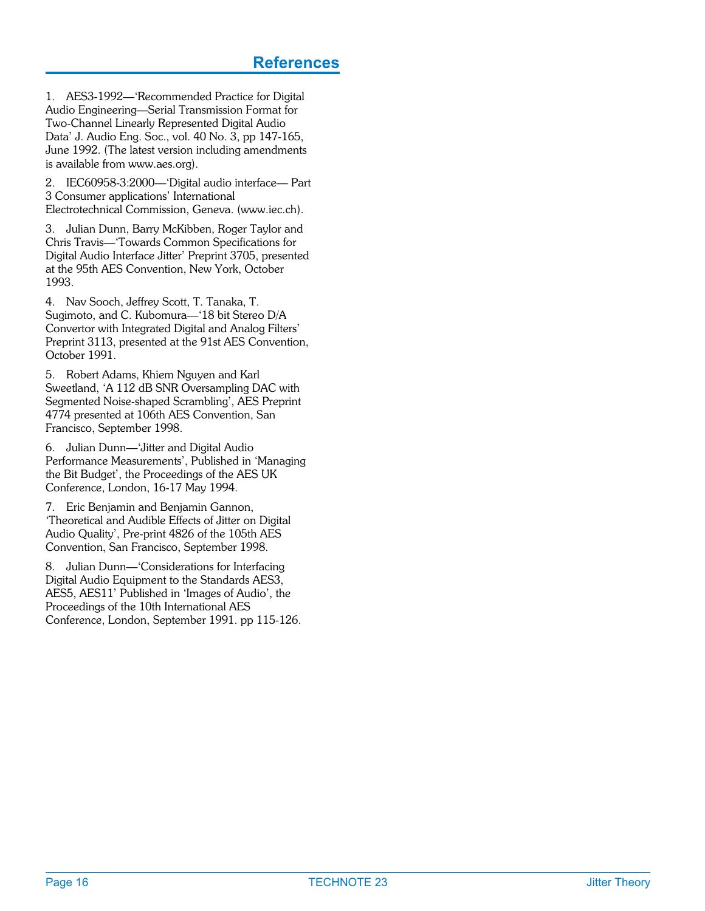1. AES3-1992—'Recommended Practice for Digital Audio Engineering—Serial Transmission Format for Two-Channel Linearly Represented Digital Audio Data' J. Audio Eng. Soc., vol. 40 No. 3, pp 147-165, June 1992. (The latest version including amendments is available from www.aes.org).

2. IEC60958-3:2000—'Digital audio interface— Part 3 Consumer applications' International Electrotechnical Commission, Geneva. (www.iec.ch).

3. Julian Dunn, Barry McKibben, Roger Taylor and Chris Travis—'Towards Common Specifications for Digital Audio Interface Jitter' Preprint 3705, presented at the 95th AES Convention, New York, October 1993.

4. Nav Sooch, Jeffrey Scott, T. Tanaka, T. Sugimoto, and C. Kubomura—'18 bit Stereo D/A Convertor with Integrated Digital and Analog Filters' Preprint 3113, presented at the 91st AES Convention, October 1991.

5. Robert Adams, Khiem Nguyen and Karl Sweetland, 'A 112 dB SNR Oversampling DAC with Segmented Noise-shaped Scrambling', AES Preprint 4774 presented at 106th AES Convention, San Francisco, September 1998.

6. Julian Dunn—'Jitter and Digital Audio Performance Measurements', Published in 'Managing the Bit Budget', the Proceedings of the AES UK Conference, London, 16-17 May 1994.

7. Eric Benjamin and Benjamin Gannon, 'Theoretical and Audible Effects of Jitter on Digital Audio Quality', Pre-print 4826 of the 105th AES Convention, San Francisco, September 1998.

8. Julian Dunn—'Considerations for Interfacing Digital Audio Equipment to the Standards AES3, AES5, AES11' Published in 'Images of Audio', the Proceedings of the 10th International AES Conference, London, September 1991. pp 115-126.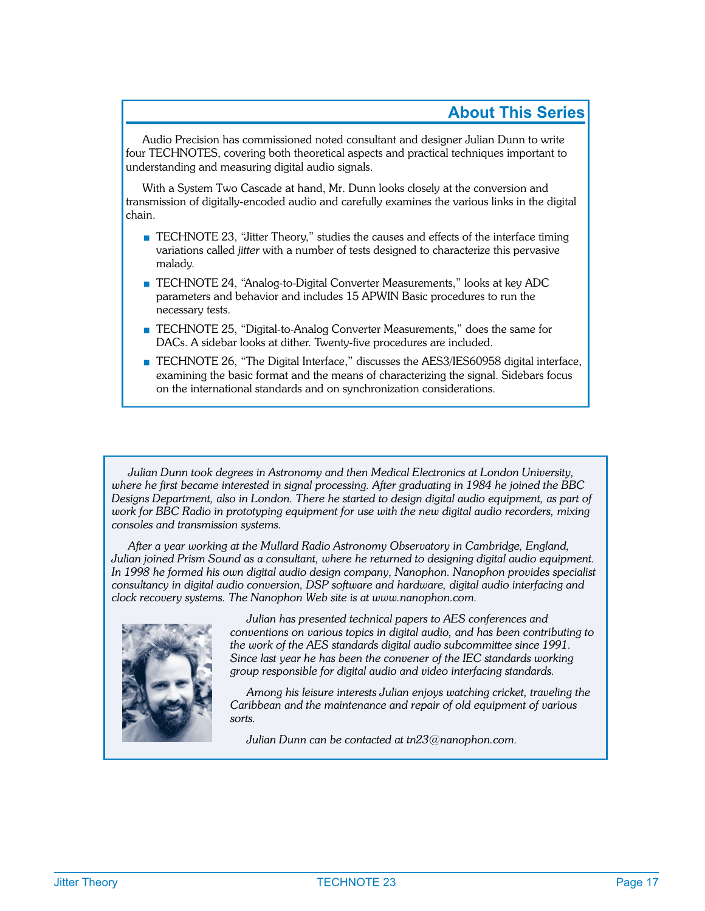#### **About This Series**

Audio Precision has commissioned noted consultant and designer Julian Dunn to write four TECHNOTES, covering both theoretical aspects and practical techniques important to understanding and measuring digital audio signals.

With a System Two Cascade at hand, Mr. Dunn looks closely at the conversion and transmission of digitally-encoded audio and carefully examines the various links in the digital chain.

- TECHNOTE 23, "Jitter Theory," studies the causes and effects of the interface timing variations called *jitter* with a number of tests designed to characterize this pervasive malady.
- TECHNOTE 24, "Analog-to-Digital Converter Measurements," looks at key ADC parameters and behavior and includes 15 APWIN Basic procedures to run the necessary tests.
- TECHNOTE 25, "Digital-to-Analog Converter Measurements," does the same for DACs. A sidebar looks at dither. Twenty-five procedures are included.
- TECHNOTE 26, "The Digital Interface," discusses the AES3/IES60958 digital interface, examining the basic format and the means of characterizing the signal. Sidebars focus on the international standards and on synchronization considerations.

*Julian Dunn took degrees in Astronomy and then Medical Electronics at London University, where he first became interested in signal processing. After graduating in 1984 he joined the BBC Designs Department, also in London. There he started to design digital audio equipment, as part of work for BBC Radio in prototyping equipment for use with the new digital audio recorders, mixing consoles and transmission systems.*

*After a year working at the Mullard Radio Astronomy Observatory in Cambridge, England, Julian joined Prism Sound as a consultant, where he returned to designing digital audio equipment. In 1998 he formed his own digital audio design company, Nanophon. Nanophon provides specialist consultancy in digital audio conversion, DSP software and hardware, digital audio interfacing and clock recovery systems. The Nanophon Web site is at www.nanophon.com.*



*Julian has presented technical papers to AES conferences and conventions on various topics in digital audio, and has been contributing to the work of the AES standards digital audio subcommittee since 1991. Since last year he has been the convener of the IEC standards working group responsible for digital audio and video interfacing standards.*

*Among his leisure interests Julian enjoys watching cricket, traveling the Caribbean and the maintenance and repair of old equipment of various sorts.*

*Julian Dunn can be contacted at tn23@nanophon.com.*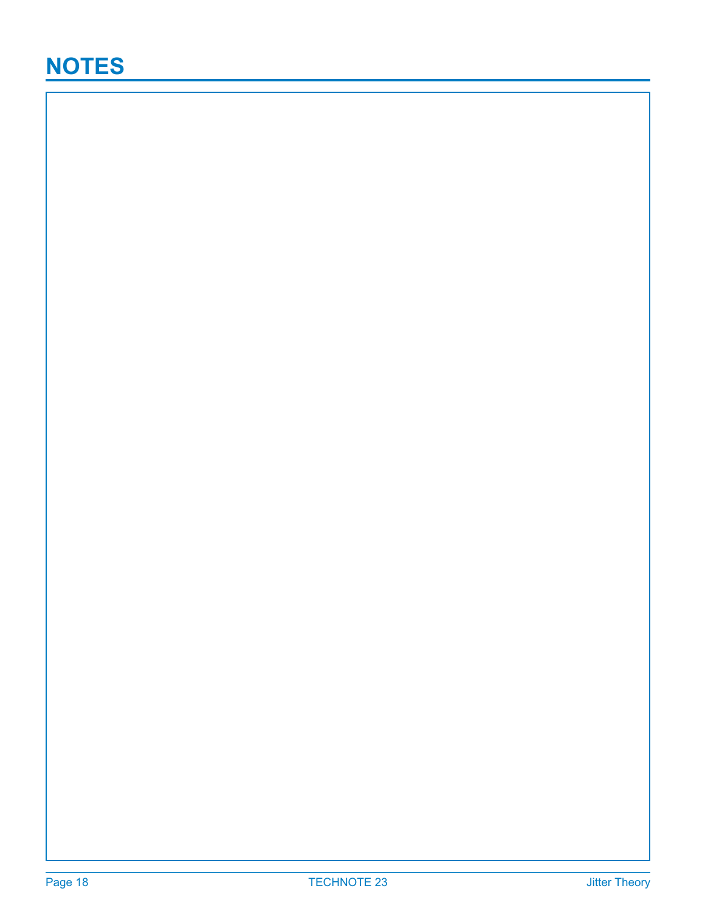### **NOTES**